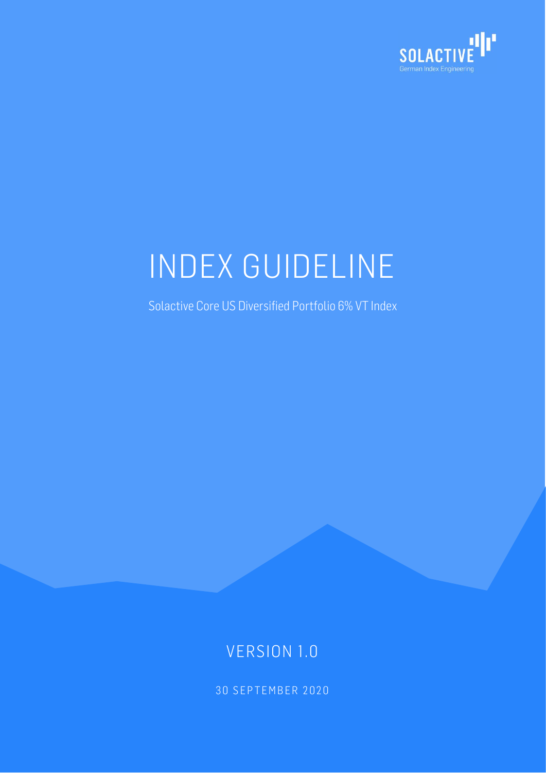

# INDEX GUIDELINE

Solactive Core US Diversified Portfolio 6% VT Index

### VERSION 1.0

30 SEPTEMBER 2020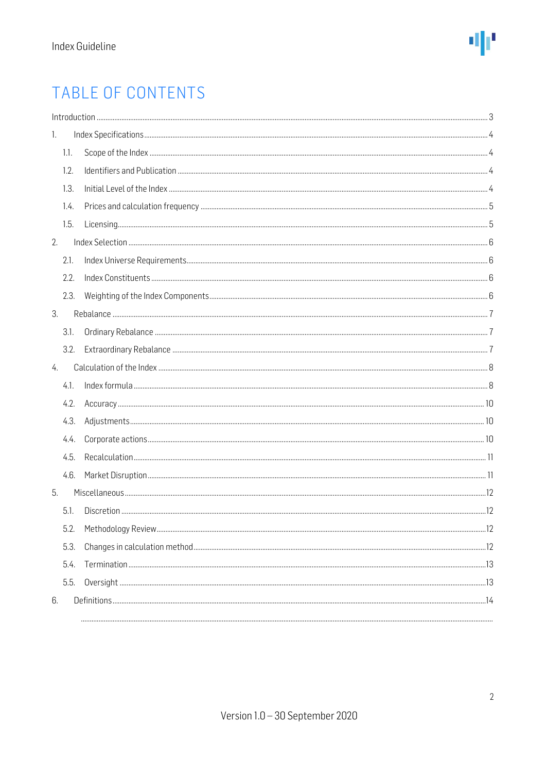### TABLE OF CONTENTS

| 1. |      |  |
|----|------|--|
|    | 1.1. |  |
|    | 1.2. |  |
|    | 1.3. |  |
|    | 1.4. |  |
|    | 1.5. |  |
| 2. |      |  |
|    | 2.1. |  |
|    | 2.2. |  |
|    | 2.3. |  |
| 3. |      |  |
|    | 3.1. |  |
|    | 3.2. |  |
| 4. |      |  |
|    | 4.1. |  |
|    | 4.2. |  |
|    | 4.3. |  |
|    | 4.4. |  |
|    | 4.5. |  |
|    | 4.6. |  |
| 5. |      |  |
|    | 5.1. |  |
|    | 5.2. |  |
|    | 5.3. |  |
|    | 5.4. |  |
|    | 5.5. |  |
| 6. |      |  |
|    |      |  |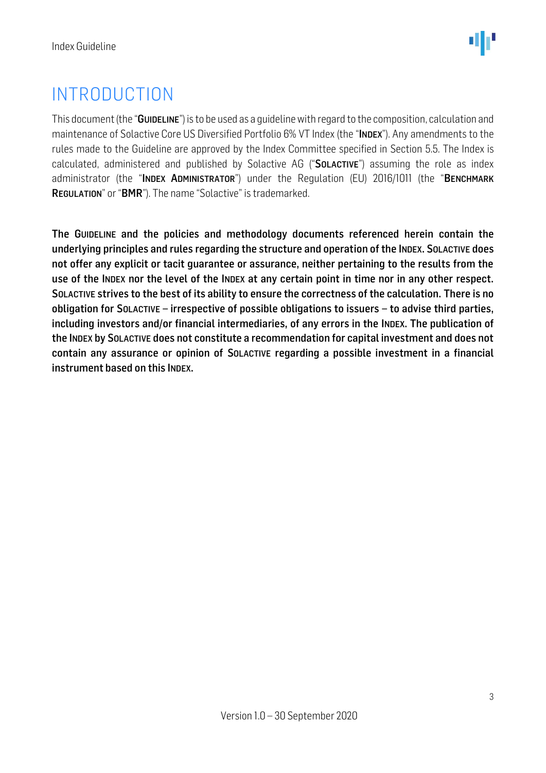### <span id="page-2-0"></span>INTRODUCTION

This document (the "GUIDELINE") is to be used as a guideline with regard to the composition, calculation and maintenance of Solactive Core US Diversified Portfolio 6% VT Index (the "INDEX"). Any amendments to the rules made to the Guideline are approved by the Index Committee specified in Section 5.5. The Index is calculated, administered and published by Solactive AG ("SOLACTIVE") assuming the role as index administrator (the "INDEX ADMINISTRATOR") under the Regulation (EU) 2016/1011 (the "BENCHMARK REGULATION" or "BMR"). The name "Solactive" is trademarked.

The GUIDELINE and the policies and methodology documents referenced herein contain the underlying principles and rules regarding the structure and operation of the INDEX. SOLACTIVE does not offer any explicit or tacit guarantee or assurance, neither pertaining to the results from the use of the INDEX nor the level of the INDEX at any certain point in time nor in any other respect. SOLACTIVE strives to the best of its ability to ensure the correctness of the calculation. There is no obligation for SOLACTIVE – irrespective of possible obligations to issuers – to advise third parties, including investors and/or financial intermediaries, of any errors in the INDEX. The publication of the INDEX by SOLACTIVE does not constitute a recommendation for capital investment and does not contain any assurance or opinion of SOLACTIVE regarding a possible investment in a financial instrument based on this INDEX.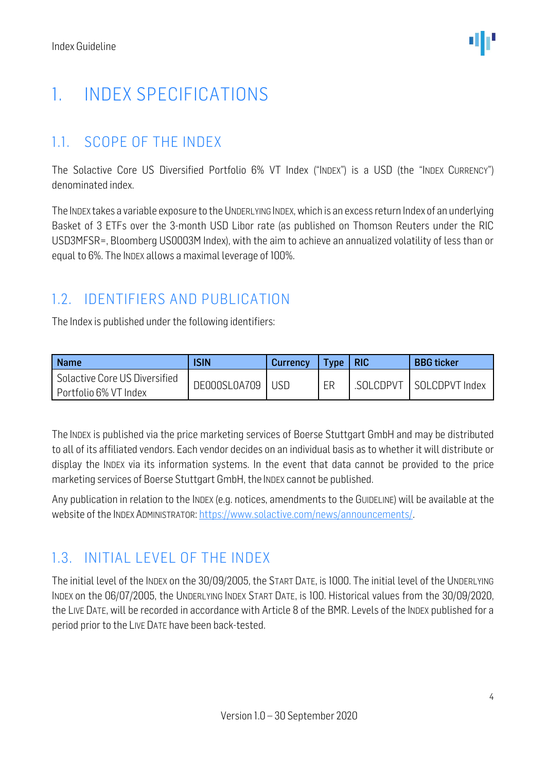## <span id="page-3-0"></span>1. INDEX SPECIFICATIONS

### <span id="page-3-1"></span>1.1. SCOPE OF THE INDEX

The Solactive Core US Diversified Portfolio 6% VT Index ("INDEX") is a USD (the "INDEX CURRENCY") denominated index.

The INDEX takes a variable exposure to the UNDERLYING INDEX, which is an excess return Index of an underlying Basket of 3 ETFs over the 3-month USD Libor rate (as published on Thomson Reuters under the RIC USD3MFSR=, Bloomberg US0003M Index), with the aim to achieve an annualized volatility of less than or equal to 6%. The INDEX allows a maximal leverage of 100%.

### <span id="page-3-2"></span>1.2. IDENTIFIERS AND PUBLICATION

The Index is published under the following identifiers:

| <b>Name</b>                                            | <b>ISIN</b>  | Currency | Type | <b>RIC</b> | <b>BBG</b> ticker |
|--------------------------------------------------------|--------------|----------|------|------------|-------------------|
| Solactive Core US Diversified<br>Portfolio 6% VT Index | DE000SL0A709 | USD.     | ER   | .SOLCDPVT  | SOLCDPVT Index    |

The INDEX is published via the price marketing services of Boerse Stuttgart GmbH and may be distributed to all of its affiliated vendors. Each vendor decides on an individual basis as to whether it will distribute or display the INDEX via its information systems. In the event that data cannot be provided to the price marketing services of Boerse Stuttgart GmbH, the INDEX cannot be published.

Any publication in relation to the INDEX (e.g. notices, amendments to the GUIDELINE) will be available at the website of the INDEX ADMINISTRATOR[: https://www.solactive.com/news/announcements/.](https://www.solactive.com/news/announcements/)

### <span id="page-3-3"></span>1.3. INITIAL LEVEL OF THE INDEX

The initial level of the INDEX on the 30/09/2005, the START DATE, is 1000. The initial level of the UNDERLYING INDEX on the 06/07/2005, the UNDERLYING INDEX START DATE, is 100. Historical values from the 30/09/2020, the LIVE DATE, will be recorded in accordance with Article 8 of the BMR. Levels of the INDEX published for a period prior to the LIVE DATE have been back-tested.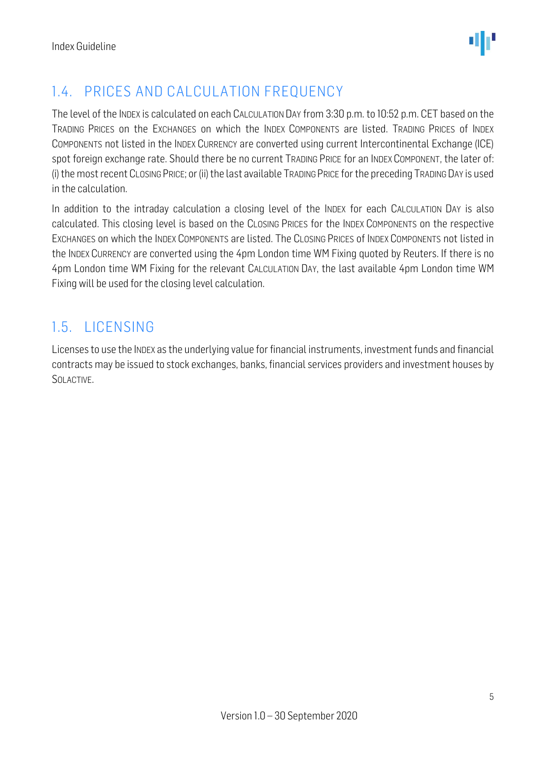

### <span id="page-4-0"></span>1.4. PRICES AND CALCULATION FREQUENCY

The level of the INDEX is calculated on each CALCULATION DAY from 3:30 p.m. to 10:52 p.m. CET based on the TRADING PRICES on the EXCHANGES on which the INDEX COMPONENTS are listed. TRADING PRICES of INDEX COMPONENTS not listed in the INDEX CURRENCY are converted using current Intercontinental Exchange (ICE) spot foreign exchange rate. Should there be no current TRADING PRICE for an INDEX COMPONENT, the later of: (i) the most recent CLOSING PRICE; or (ii) the last available TRADING PRICE for the preceding TRADING DAY is used in the calculation.

In addition to the intraday calculation a closing level of the INDEX for each CALCULATION DAY is also calculated. This closing level is based on the CLOSING PRICES for the INDEX COMPONENTS on the respective EXCHANGES on which the INDEX COMPONENTS are listed. The CLOSING PRICES of INDEX COMPONENTS not listed in the INDEX CURRENCY are converted using the 4pm London time WM Fixing quoted by Reuters. If there is no 4pm London time WM Fixing for the relevant CALCULATION DAY, the last available 4pm London time WM Fixing will be used for the closing level calculation.

### <span id="page-4-1"></span>1.5. LICENSING

Licenses to use the INDEX as the underlying value for financial instruments, investment funds and financial contracts may be issued to stock exchanges, banks, financial services providers and investment houses by SOLACTIVE.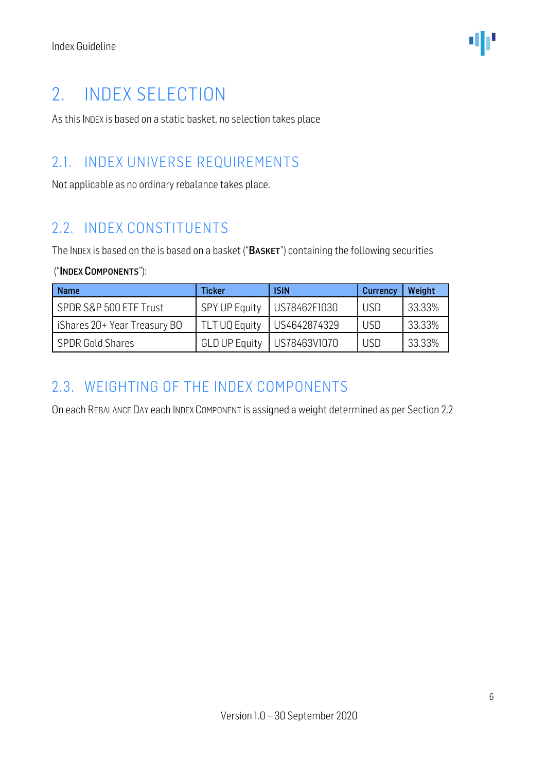### <span id="page-5-0"></span>2. INDEX SELECTION

As this INDEX is based on a static basket, no selection takes place

#### <span id="page-5-1"></span>2.1. INDEX UNIVERSE REQUIREMENTS

Not applicable as no ordinary rebalance takes place.

### <span id="page-5-2"></span>2.2. INDEX CONSTITUENTS

The INDEX is based on the is based on a basket ("BASKET") containing the following securities

#### ("INDEX COMPONENTS"):

| <b>Name</b>                  | Ticker               | <b>ISIN</b>  | Currency   | Weight |
|------------------------------|----------------------|--------------|------------|--------|
| SPDR S&P 500 ETF Trust       | SPY UP Equity        | US78462F1030 | <b>USD</b> | 33.33% |
| iShares 20+ Year Treasury BO | TLT UQ Equity        | US4642874329 | <b>USD</b> | 33.33% |
| <b>SPDR Gold Shares</b>      | <b>GLD UP Equity</b> | US78463V1070 | USD        | 33.33% |

#### <span id="page-5-3"></span>2.3. WEIGHTING OF THE INDEX COMPONENTS

On each REBALANCE DAY each INDEX COMPONENT is assigned a weight determined as per Section 2.2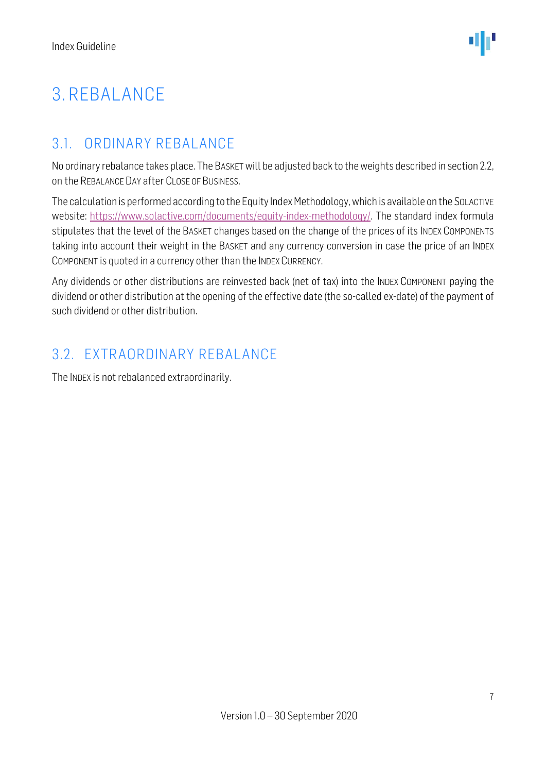# <span id="page-6-0"></span>3. REBALANCE

### <span id="page-6-1"></span>3.1. ORDINARY REBALANCE

No ordinary rebalance takes place. The BASKET will be adjusted back to the weights described in section 2.2, on the REBALANCE DAY after CLOSE OF BUSINESS.

The calculation is performed according to the Equity Index Methodology, which is available on the SOLACTIVE website: [https://www.solactive.com/documents/equity-index-methodology/.](https://www.solactive.com/documents/equity-index-methodology/) The standard index formula stipulates that the level of the BASKET changes based on the change of the prices of its INDEX COMPONENTS taking into account their weight in the BASKET and any currency conversion in case the price of an INDEX COMPONENT is quoted in a currency other than the INDEX CURRENCY.

Any dividends or other distributions are reinvested back (net of tax) into the INDEX COMPONENT paying the dividend or other distribution at the opening of the effective date (the so-called ex-date) of the payment of such dividend or other distribution.

### <span id="page-6-2"></span>3.2. EXTRAORDINARY REBALANCE

The INDEX is not rebalanced extraordinarily.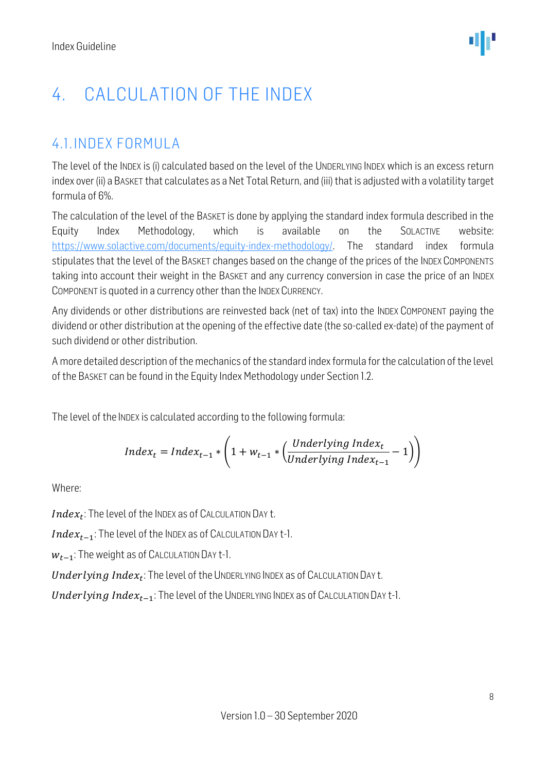# <span id="page-7-0"></span>4. CALCULATION OF THE INDEX

### <span id="page-7-1"></span>4.1. INDEX FORMULA

The level of the INDEX is (i) calculated based on the level of the UNDERLYING INDEX which is an excess return index over (ii) a BASKET that calculates as a Net Total Return, and (iii) that is adjusted with a volatility target formula of 6%.

The calculation of the level of the BASKET is done by applying the standard index formula described in the Equity Index Methodology, which is available on the SOLACTIVE website: [https://www.solactive.com/documents/equity-index-methodology/.](https://www.solactive.com/documents/equity-index-methodology/) The standard index formula stipulates that the level of the BASKET changes based on the change of the prices of the INDEX COMPONENTS taking into account their weight in the BASKET and any currency conversion in case the price of an INDEX COMPONENT is quoted in a currency other than the INDEX CURRENCY.

Any dividends or other distributions are reinvested back (net of tax) into the INDEX COMPONENT paying the dividend or other distribution at the opening of the effective date (the so-called ex-date) of the payment of such dividend or other distribution.

A more detailed description of the mechanics of the standard index formula for the calculation of the level of the BASKET can be found in the Equity Index Methodology under Section 1.2.

The level of the INDEX is calculated according to the following formula:

$$
Index_t = Index_{t-1} * \left(1 + w_{t-1} * \left(\frac{Underlying Index_t}{Underlying Index_{t-1}} - 1\right)\right)
$$

Where:

 $Index_t$ : The level of the INDEX as of CALCULATION DAY t.

 $Index_{t-1}$ : The level of the INDEX as of CALCULATION DAY t-1.

 $W_{t-1}$ : The weight as of CALCULATION DAY t-1.

 $\boldsymbol{Underlying~Index_t}$ : The level of the UNDERLYING INDEX as of CALCULATION DAY t.

Underlying Index $_{t-1}$ : The level of the UNDERLYING INDEX as of CALCULATION DAY t-1.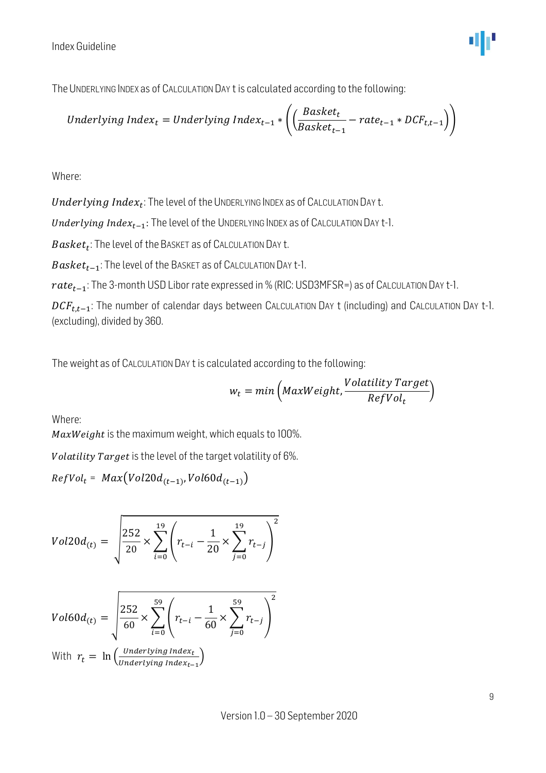

The UNDERLYING INDEX as of CALCULATION DAY t is calculated according to the following:

$$
Underlying Index_t = Underlying Index_{t-1} * \left( \left( \frac{Basket_t}{Basket_{t-1}} - rate_{t-1} * DCF_{t,t-1} \right) \right)
$$

Where:

 $\mathit{Underlying Index}_t$ : The level of the UNDERLYING INDEX as of CALCULATION DAY t.

Underlying Index $_{t-1}$ : The level of the UNDERLYING INDEX as of CALCULATION DAY t-1.

 $\emph{Basket}_t$ : The level of the Basket as of Calculation Day t.

 $Basket_{t-1}$ : The level of the BASKET as of CALCULATION DAY t-1.

 $rate_{t-1}$ : The 3-month USD Libor rate expressed in % (RIC: USD3MFSR=) as of CALCULATION DAY t-1.

 $DCF_{t.t-1}$ : The number of calendar days between CALCULATION DAY t (including) and CALCULATION DAY t-1. (excluding), divided by 360.

The weight as of CALCULATION DAY t is calculated according to the following:

$$
w_t = min\left(MaxWeight, \frac{Volatility\ Target}{RefVol_t}\right)
$$

Where:

 $MaxWeight$  is the maximum weight, which equals to 100%.

Volatility Target is the level of the target volatility of 6%.

$$
RefVol_t = Max(Vol20d_{(t-1)}, Vol60d_{(t-1)})
$$

$$
Vol20d_{(t)} = \sqrt{\frac{252}{20} \times \sum_{i=0}^{19} \left( r_{t-i} - \frac{1}{20} \times \sum_{j=0}^{19} r_{t-j} \right)^2}
$$

$$
Vol60d_{(t)} = \sqrt{\frac{252}{60} \times \sum_{i=0}^{59} \left( r_{t-i} - \frac{1}{60} \times \sum_{j=0}^{59} r_{t-j} \right)^2}
$$
  
With  $r_t = \ln \left( \frac{Underlying Index_t}{underlying Index_{t-1}} \right)$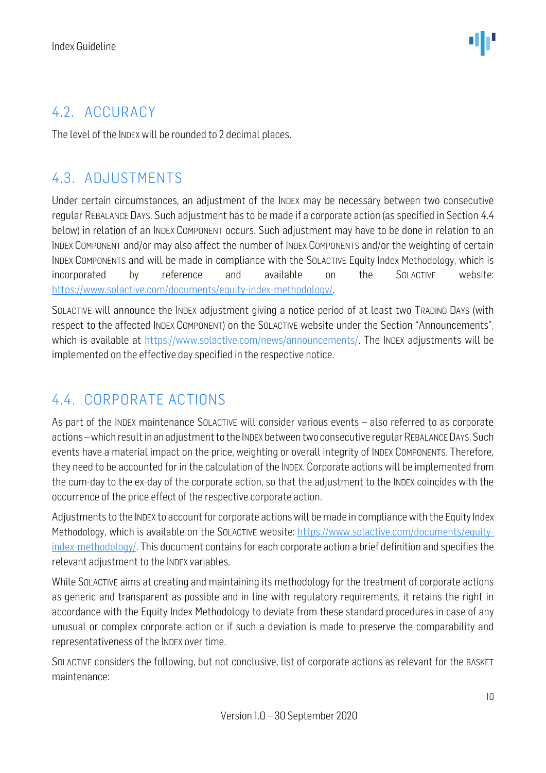### <span id="page-9-0"></span>4.2. ACCURACY

The level of the INDEX will be rounded to 2 decimal places.

### <span id="page-9-1"></span>4.3. ADJUSTMENTS

Under certain circumstances, an adjustment of the INDEX may be necessary between two consecutive regular REBALANCE DAYS. Such adjustment has to be made if a corporate action (as specified in Section 4.4 below) in relation of an INDEX COMPONENT occurs. Such adjustment may have to be done in relation to an INDEX COMPONENT and/or may also affect the number of INDEX COMPONENTS and/or the weighting of certain INDEX COMPONENTS and will be made in compliance with the SOLACTIVE Equity Index Methodology, which is incorporated by reference and available on the SOLACTIVE website: [https://www.solactive.com/documents/equity-index-methodology/.](https://www.solactive.com/documents/equity-index-methodology/)

SOLACTIVE will announce the INDEX adjustment giving a notice period of at least two TRADING DAYS (with respect to the affected INDEX COMPONENT) on the SOLACTIVE website under the Section "Announcements", which is available at [https://www.solactive.com/news/announcements/.](https://www.solactive.com/news/announcements/) The INDEX adjustments will be implemented on the effective day specified in the respective notice.

### <span id="page-9-2"></span>4.4. CORPORATE ACTIONS

As part of the INDEX maintenance SOLACTIVE will consider various events – also referred to as corporate actions –which result in an adjustment to the INDEX between two consecutive regular REBALANCE DAYS. Such events have a material impact on the price, weighting or overall integrity of INDEX COMPONENTS. Therefore, they need to be accounted for in the calculation of the INDEX. Corporate actions will be implemented from the cum-day to the ex-day of the corporate action, so that the adjustment to the INDEX coincides with the occurrence of the price effect of the respective corporate action.

Adjustments to the INDEX to account for corporate actions will be made in compliance with the Equity Index Methodology, which is available on the SOLACTIVE website: [https://www.solactive.com/documents/equity](https://www.solactive.com/documents/equity-index-methodology/)[index-methodology/.](https://www.solactive.com/documents/equity-index-methodology/) This document contains for each corporate action a brief definition and specifies the relevant adjustment to the INDEX variables.

While SOLACTIVE aims at creating and maintaining its methodology for the treatment of corporate actions as generic and transparent as possible and in line with regulatory requirements, it retains the right in accordance with the Equity Index Methodology to deviate from these standard procedures in case of any unusual or complex corporate action or if such a deviation is made to preserve the comparability and representativeness of the INDEX over time.

SOLACTIVE considers the following, but not conclusive, list of corporate actions as relevant for the BASKET maintenance: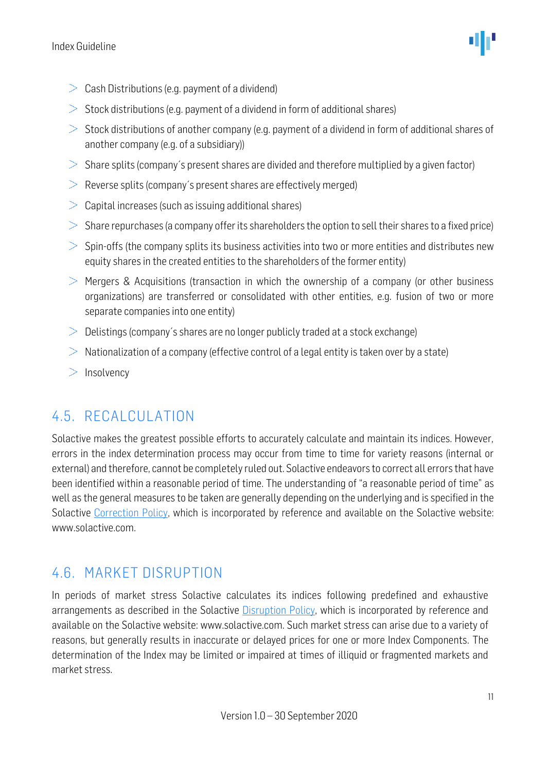- $\geq$  Cash Distributions (e.g. payment of a dividend)
- $>$  Stock distributions (e.g. payment of a dividend in form of additional shares)
- $>$  Stock distributions of another company (e.g. payment of a dividend in form of additional shares of another company (e.g. of a subsidiary))
- $>$  Share splits (company's present shares are divided and therefore multiplied by a given factor)
- $\geq$  Reverse splits (company's present shares are effectively merged)
- $\geq$  Capital increases (such as issuing additional shares)
- $>$  Share repurchases (a company offer its shareholders the option to sell their shares to a fixed price)
- $>$  Spin-offs (the company splits its business activities into two or more entities and distributes new equity shares in the created entities to the shareholders of the former entity)
- $\geq$  Mergers & Acquisitions (transaction in which the ownership of a company (or other business organizations) are transferred or consolidated with other entities, e.g. fusion of two or more separate companies into one entity)
- $\geq 0$ elistings (company's shares are no longer publicly traded at a stock exchange)
- $>$  Nationalization of a company (effective control of a legal entity is taken over by a state)
- $>$  Insolvency

### <span id="page-10-0"></span>4.5. RECALCULATION

Solactive makes the greatest possible efforts to accurately calculate and maintain its indices. However, errors in the index determination process may occur from time to time for variety reasons (internal or external) and therefore, cannot be completely ruled out. Solactive endeavors to correct all errors that have been identified within a reasonable period of time. The understanding of "a reasonable period of time" as well as the general measures to be taken are generally depending on the underlying and is specified in the Solactive [Correction Policy,](http://www.solactive.com/news/documents/) which is incorporated by reference and available on the Solactive website: www.solactive.com.

#### <span id="page-10-1"></span>4.6. MARKET DISRUPTION

In periods of market stress Solactive calculates its indices following predefined and exhaustive arrangements as described in the Solactive [Disruption Policy,](http://www.solactive.com/news/documents/) which is incorporated by reference and available on the Solactive website: www.solactive.com. Such market stress can arise due to a variety of reasons, but generally results in inaccurate or delayed prices for one or more Index Components. The determination of the Index may be limited or impaired at times of illiquid or fragmented markets and market stress.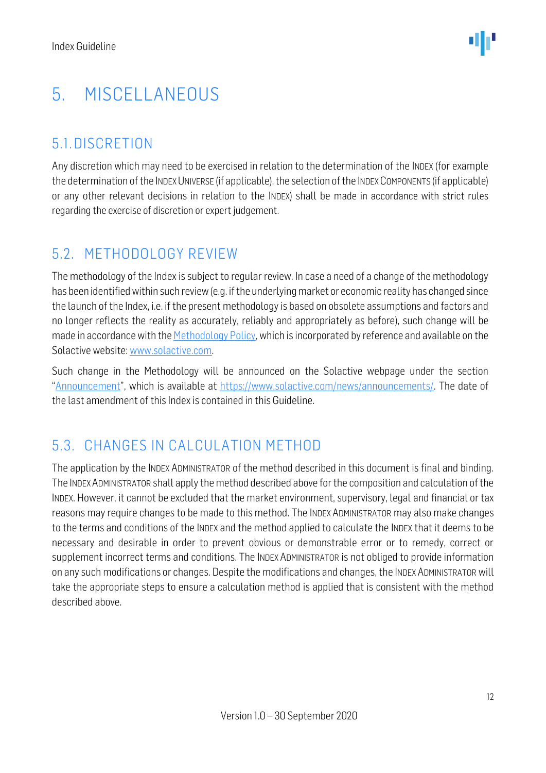# <span id="page-11-0"></span>5. MISCELLANEOUS

### <span id="page-11-1"></span>5.1.DISCRETION

Any discretion which may need to be exercised in relation to the determination of the INDEX (for example the determination of the INDEX UNIVERSE (if applicable), the selection of the INDEX COMPONENTS (if applicable) or any other relevant decisions in relation to the INDEX) shall be made in accordance with strict rules regarding the exercise of discretion or expert judgement.

### <span id="page-11-2"></span>5.2. METHODOLOGY REVIEW

The methodology of the Index is subject to regular review. In case a need of a change of the methodology has been identified within such review (e.g. if the underlying market or economic reality has changed since the launch of the Index, i.e. if the present methodology is based on obsolete assumptions and factors and no longer reflects the reality as accurately, reliably and appropriately as before), such change will be made in accordance with the Methodology Policy, which is incorporated by reference and available on the Solactive website[: www.solactive.com.](file://///ad.solactive.com/dfs/ComplexOps/Clients/Goldman%20Sachs/SOLUDPVT/www.solactive.com)

Such change in the Methodology will be announced on the Solactive webpage under the section "[Announcement](file://///ad.solactive.com/dfs/ComplexOps/Clients/Goldman%20Sachs/SOLUDPVT/Announcement)", which is available at [https://www.solactive.com/news/announcements/.](https://www.solactive.com/news/announcements/) The date of the last amendment of this Index is contained in this Guideline.

### <span id="page-11-3"></span>5.3. CHANGES IN CALCULATION METHOD

The application by the INDEX ADMINISTRATOR of the method described in this document is final and binding. The INDEX ADMINISTRATOR shall apply the method described above for the composition and calculation of the INDEX. However, it cannot be excluded that the market environment, supervisory, legal and financial or tax reasons may require changes to be made to this method. The INDEX ADMINISTRATOR may also make changes to the terms and conditions of the INDEX and the method applied to calculate the INDEX that it deems to be necessary and desirable in order to prevent obvious or demonstrable error or to remedy, correct or supplement incorrect terms and conditions. The INDEX ADMINISTRATOR is not obliged to provide information on any such modifications or changes. Despite the modifications and changes, the INDEX ADMINISTRATOR will take the appropriate steps to ensure a calculation method is applied that is consistent with the method described above.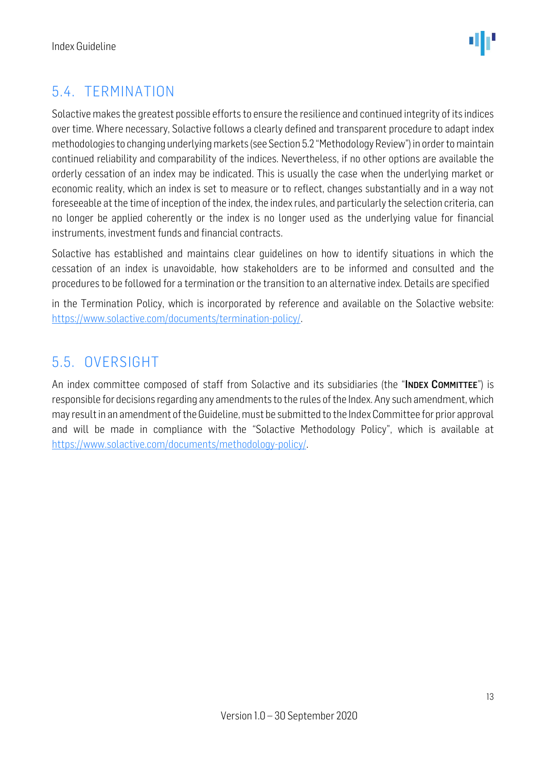### <span id="page-12-0"></span>5.4. TERMINATION

Solactive makes the greatest possible efforts to ensure the resilience and continued integrity of its indices over time. Where necessary, Solactive follows a clearly defined and transparent procedure to adapt index methodologies to changing underlying markets (see Section 5.2 "Methodology Review") in order to maintain continued reliability and comparability of the indices. Nevertheless, if no other options are available the orderly cessation of an index may be indicated. This is usually the case when the underlying market or economic reality, which an index is set to measure or to reflect, changes substantially and in a way not foreseeable at the time of inception of the index, the index rules, and particularly the selection criteria, can no longer be applied coherently or the index is no longer used as the underlying value for financial instruments, investment funds and financial contracts.

Solactive has established and maintains clear guidelines on how to identify situations in which the cessation of an index is unavoidable, how stakeholders are to be informed and consulted and the procedures to be followed for a termination or the transition to an alternative index. Details are specified

in the Termination Policy, which is incorporated by reference and available on the Solactive website: [https://www.solactive.com/documents/termination-policy/.](https://www.solactive.com/documents/termination-policy/)

### <span id="page-12-1"></span>5.5. OVERSIGHT

An index committee composed of staff from Solactive and its subsidiaries (the "INDEX COMMITTEE") is responsible for decisions regarding any amendments to the rules of the Index. Any such amendment, which may result in an amendment of the Guideline, must be submitted to the Index Committee for prior approval and will be made in compliance with the "Solactive [Methodology](http://methodology/) Policy", which is available at [https://www.solactive.com/documents/methodology-policy/.](https://www.solactive.com/documents/methodology-policy/)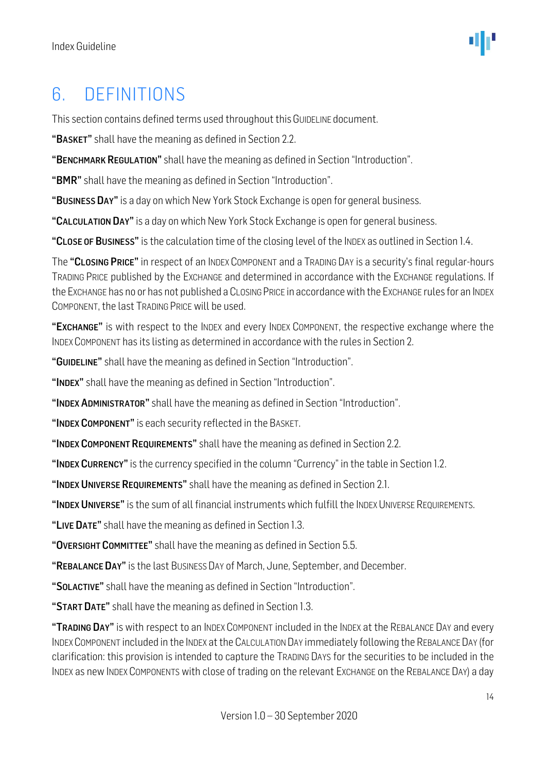### <span id="page-13-0"></span>6. DEFINITIONS

This section contains defined terms used throughout this GUIDELINE document.

"BASKET" shall have the meaning as defined in Section 2.2.

"BENCHMARK REGULATION" shall have the meaning as defined in Section "Introduction".

"BMR" shall have the meaning as defined in Section "Introduction".

"BUSINESS DAY" is a day on which New York Stock Exchange is open for general business.

"CALCULATION DAY" is a day on which New York Stock Exchange is open for general business.

"CLOSE OF BUSINESS" is the calculation time of the closing level of the INDEX as outlined in Section 1.4.

The "CLOSING PRICE" in respect of an INDEX COMPONENT and a TRADING DAY is a security's final regular-hours TRADING PRICE published by the EXCHANGE and determined in accordance with the EXCHANGE regulations. If the EXCHANGE has no or has not published a CLOSING PRICE in accordance with the EXCHANGE rules for an INDEX COMPONENT, the last TRADING PRICE will be used.

"EXCHANGE" is with respect to the INDEX and every INDEX COMPONENT, the respective exchange where the INDEX COMPONENT has its listing as determined in accordance with the rules in Section 2.

"GUIDELINE" shall have the meaning as defined in Section "Introduction".

"INDEX" shall have the meaning as defined in Section "Introduction".

"INDEX ADMINISTRATOR" shall have the meaning as defined in Section "Introduction".

"INDEX COMPONENT" is each security reflected in the BASKET.

"INDEX COMPONENT REQUIREMENTS" shall have the meaning as defined in Section 2.2.

"INDEX CURRENCY" is the currency specified in the column "Currency" in the table in Section 1.2.

"INDEX UNIVERSE REQUIREMENTS" shall have the meaning as defined in Section 2.1.

"INDEX UNIVERSE" is the sum of all financial instruments which fulfill the INDEX UNIVERSE REQUIREMENTS.

"LIVE DATE" shall have the meaning as defined in Section 1.3.

"OVERSIGHT COMMITTEE" shall have the meaning as defined in Section 5.5.

"REBALANCE DAY" is the last Business Day of March, June, September, and December.

"SOLACTIVE" shall have the meaning as defined in Section "Introduction".

"START DATE" shall have the meaning as defined in Section 1.3.

"TRADING DAY" is with respect to an INDEX COMPONENT included in the INDEX at the REBALANCE DAY and every INDEXCOMPONENT included in the INDEX at the CALCULATION DAY immediately following the REBALANCE DAY (for clarification: this provision is intended to capture the TRADING DAYS for the securities to be included in the INDEX as new INDEX COMPONENTS with close of trading on the relevant EXCHANGE on the REBALANCE DAY) a day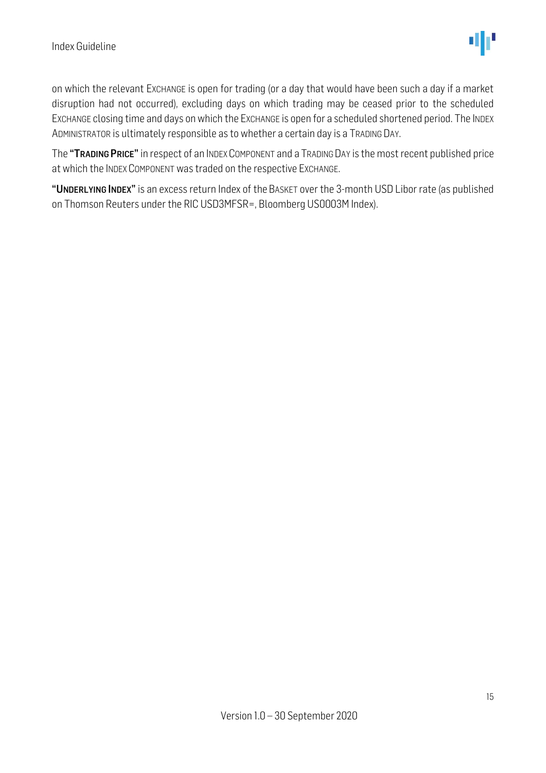on which the relevant EXCHANGE is open for trading (or a day that would have been such a day if a market disruption had not occurred), excluding days on which trading may be ceased prior to the scheduled EXCHANGE closing time and days on which the EXCHANGE is open for a scheduled shortened period. The INDEX ADMINISTRATOR is ultimately responsible as to whether a certain day is a TRADING DAY.

The "TRADING PRICE" in respect of an INDEX COMPONENT and a TRADING DAY is the most recent published price at which the INDEX COMPONENT was traded on the respective EXCHANGE.

"UNDERLYING INDEX" is an excess return Index of the BASKET over the 3-month USD Libor rate (as published on Thomson Reuters under the RIC USD3MFSR=, Bloomberg US0003M Index).